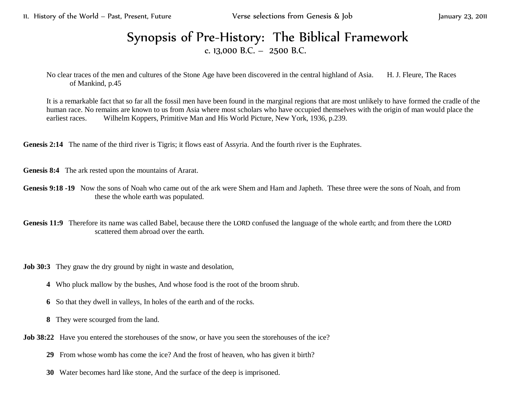11. History of the World – Past, Present, Future Verse selections from Genesis & Job January 23, 2011

## Synopsis of Pre-History: The Biblical Framework c. 13,000 B.C. – 2500 B.C.

No clear traces of the men and cultures of the Stone Age have been discovered in the central highland of Asia. H. J. Fleure, The Races of Mankind, p.45

It is a remarkable fact that so far all the fossil men have been found in the marginal regions that are most unlikely to have formed the cradle of the human race. No remains are known to us from Asia where most scholars who have occupied themselves with the origin of man would place the earliest races. Wilhelm Koppers, Primitive Man and His World Picture, New York, 1936, p.239.

Genesis 2:14 The name of the third river is Tigris; it flows east of Assyria. And the fourth river is the Euphrates.

**Genesis 8:4** The ark rested upon the mountains of Ararat.

**Genesis 9:18 -19** Now the sons of Noah who came out of the ark were Shem and Ham and Japheth. These three were the sons of Noah, and from these the whole earth was populated.

**Genesis 11:9** Therefore its name was called Babel, because there the LORD confused the language of the whole earth; and from there the LORD scattered them abroad over the earth.

**Job 30:3** They gnaw the dry ground by night in waste and desolation,

- **4** Who pluck mallow by the bushes, And whose food is the root of the broom shrub.
- **6** So that they dwell in valleys, In holes of the earth and of the rocks.
- **8** They were scourged from the land.

**Job 38:22** Have you entered the storehouses of the snow, or have you seen the storehouses of the ice?

- **29** From whose womb has come the ice? And the frost of heaven, who has given it birth?
- **30** Water becomes hard like stone, And the surface of the deep is imprisoned.